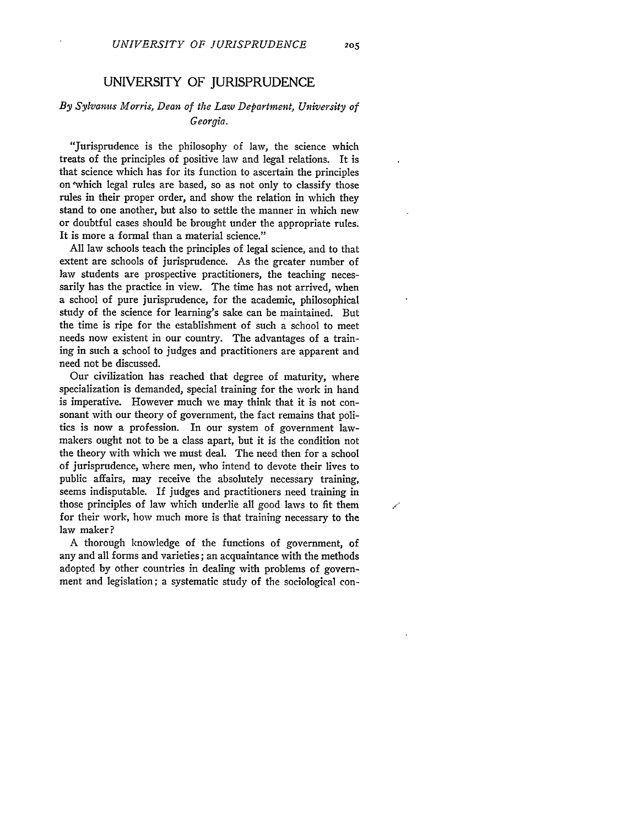## UNIVERSITY OF JURISPRUDENCE

## *By Sylvanus Morris, Dean of the Law Department, University of Georgia.*

"Jurisprudence is the philosophy of law, the science which treats of the principles of positive law and legal relations. It is that science which has for its function to ascertain the principles on 'which legal rules are based, so as not only to classify those rules in their proper order, and show the relation in which they stand to one another, but also to settle the manner in which new or doubtful cases should be brought under the appropriate rules. It is more a formal than a material science."

**All** law schools teach the principles of legal science, and to that extent are schools of jurisprudence. As the greater number of law students are prospective practitioners, the teaching necessarily has the practice in view. The time has not arrived, when a school of pure jurisprudence, for the academic, philosophical study of the science for learning's sake can be maintained. But the time is ripe for the establishment of such a school to meet needs now existent in our country. The advantages of a training in such a school to judges and practitioners are apparent and need not be discussed.

Our civilization has reached that degree of maturity, where specialization is demanded, special training for the work in hand is imperative. However much we may think that it is not consonant with our theory of government, the fact remains that politics is now a profession. In our system of government lawmakers ought not to be a class apart, but it is the condition not the theory with which we must deal. The need then for a school of jurisprudence, where men, who intend to devote their lives to public affairs, may receive the absolutely necessary training, seems indisputable. If judges and practitioners need training in those principles of law which underlie all good laws to fit them for their work, how much more is that training necessary to the law maker?

A thorough knowledge of the functions of government, of any and all forms and varieties; an acquaintance with the methods adopted by other countries in dealing with problems of government and legislation; a systematic study of the sociological con